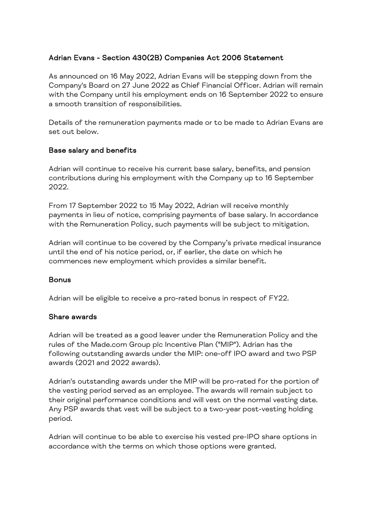## Adrian Evans - Section 430(2B) Companies Act 2006 Statement

As announced on 16 May 2022, Adrian Evans will be stepping down from the Company's Board on 27 June 2022 as Chief Financial Officer. Adrian will remain with the Company until his employment ends on 16 September 2022 to ensure a smooth transition of responsibilities.

Details of the remuneration payments made or to be made to Adrian Evans are set out below.

## Base salary and benefits

Adrian will continue to receive his current base salary, benefits, and pension contributions during his employment with the Company up to 16 September 2022.

From 17 September 2022 to 15 May 2022, Adrian will receive monthly payments in lieu of notice, comprising payments of base salary. In accordance with the Remuneration Policy, such payments will be subject to mitigation.

Adrian will continue to be covered by the Company's private medical insurance until the end of his notice period, or, if earlier, the date on which he commences new employment which provides a similar benefit.

## Bonus

Adrian will be eligible to receive a pro-rated bonus in respect of FY22.

## Share awards

Adrian will be treated as a good leaver under the Remuneration Policy and the rules of the Made.com Group plc Incentive Plan ("MIP"). Adrian has the following outstanding awards under the MIP: one-off IPO award and two PSP awards (2021 and 2022 awards).

Adrian's outstanding awards under the MIP will be pro-rated for the portion of the vesting period served as an employee. The awards will remain subject to their original performance conditions and will vest on the normal vesting date. Any PSP awards that vest will be subject to a two-year post-vesting holding period.

Adrian will continue to be able to exercise his vested pre-IPO share options in accordance with the terms on which those options were granted.